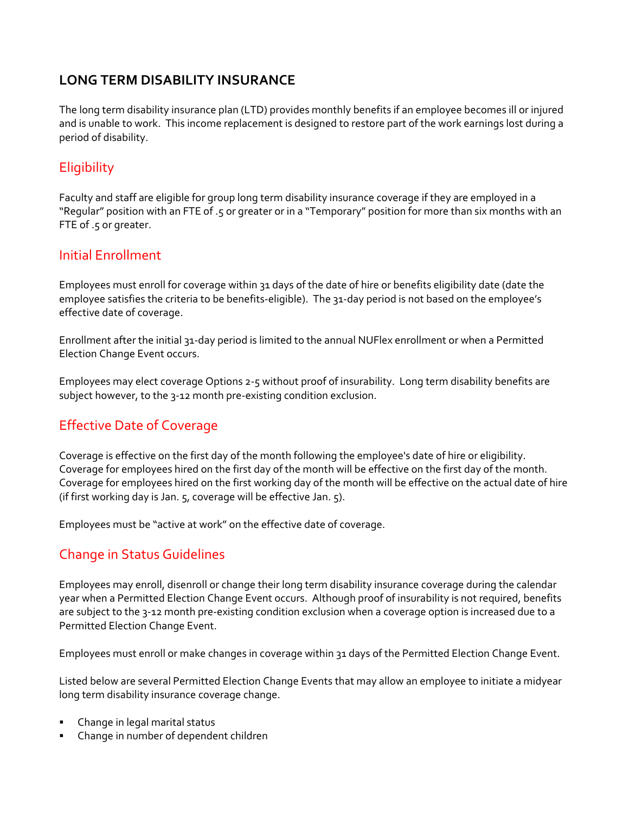# **LONG TERM DISABILITY INSURANCE**

The long term disability insurance plan (LTD) provides monthly benefits if an employee becomes ill or injured and is unable to work. This income replacement is designed to restore part of the work earnings lost during a period of disability.

# **Eligibility**

Faculty and staff are eligible for group long term disability insurance coverage if they are employed in a "Regular" position with an FTE of .5 or greater or in a "Temporary" position for more than six months with an FTE of .5 or greater.

## Initial Enrollment

Employees must enroll for coverage within 31 days of the date of hire or benefits eligibility date (date the employee satisfies the criteria to be benefits‐eligible). The 31‐day period is not based on the employee's effective date of coverage.

Enrollment after the initial 31‐day period is limited to the annual NUFlex enrollment or when a Permitted Election Change Event occurs.

Employees may elect coverage Options 2‐5 without proof of insurability. Long term disability benefits are subject however, to the 3-12 month pre-existing condition exclusion.

# Effective Date of Coverage

Coverage is effective on the first day of the month following the employee's date of hire or eligibility. Coverage for employees hired on the first day of the month will be effective on the first day of the month. Coverage for employees hired on the first working day of the month will be effective on the actual date of hire (if first working day is Jan. 5, coverage will be effective Jan. 5).

Employees must be "active at work" on the effective date of coverage.

# Change in Status Guidelines

Employees may enroll, disenroll or change their long term disability insurance coverage during the calendar year when a Permitted Election Change Event occurs. Although proof of insurability is not required, benefits are subject to the 3‐12 month pre‐existing condition exclusion when a coverage option is increased due to a Permitted Election Change Event.

Employees must enroll or make changes in coverage within 31 days of the Permitted Election Change Event.

Listed below are several Permitted Election Change Events that may allow an employee to initiate a midyear long term disability insurance coverage change.

- Change in legal marital status
- Change in number of dependent children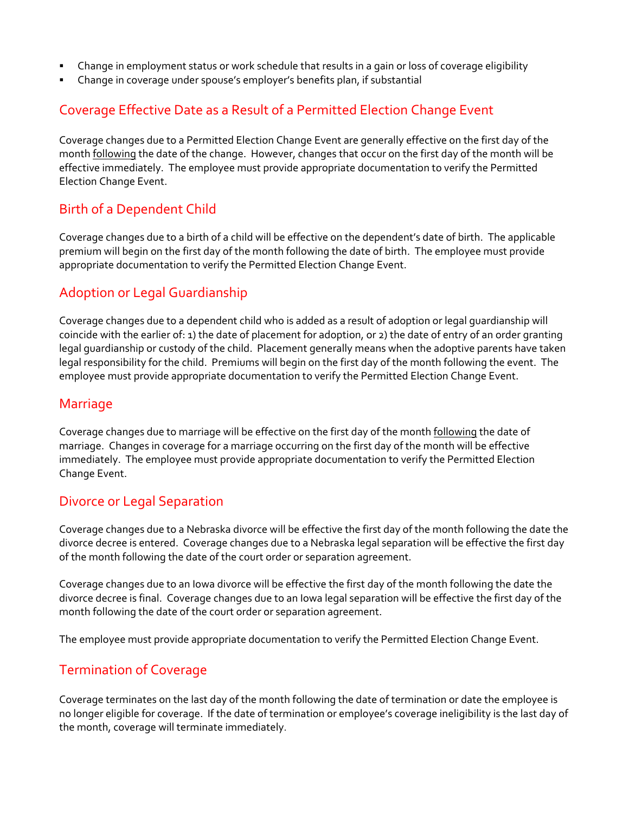- Change in employment status or work schedule that results in a gain or loss of coverage eligibility
- Change in coverage under spouse's employer's benefits plan, if substantial

## Coverage Effective Date as a Result of a Permitted Election Change Event

Coverage changes due to a Permitted Election Change Event are generally effective on the first day of the month following the date of the change. However, changes that occur on the first day of the month will be effective immediately. The employee must provide appropriate documentation to verify the Permitted Election Change Event.

## Birth of a Dependent Child

Coverage changes due to a birth of a child will be effective on the dependent's date of birth. The applicable premium will begin on the first day of the month following the date of birth. The employee must provide appropriate documentation to verify the Permitted Election Change Event.

# Adoption or Legal Guardianship

Coverage changes due to a dependent child who is added as a result of adoption or legal guardianship will coincide with the earlier of: 1) the date of placement for adoption, or 2) the date of entry of an order granting legal guardianship or custody of the child. Placement generally means when the adoptive parents have taken legal responsibility for the child. Premiums will begin on the first day of the month following the event. The employee must provide appropriate documentation to verify the Permitted Election Change Event.

#### Marriage

Coverage changes due to marriage will be effective on the first day of the month following the date of marriage. Changes in coverage for a marriage occurring on the first day of the month will be effective immediately. The employee must provide appropriate documentation to verify the Permitted Election Change Event.

## Divorce or Legal Separation

Coverage changes due to a Nebraska divorce will be effective the first day of the month following the date the divorce decree is entered. Coverage changes due to a Nebraska legal separation will be effective the first day of the month following the date of the court order or separation agreement.

Coverage changes due to an Iowa divorce will be effective the first day of the month following the date the divorce decree is final. Coverage changes due to an Iowa legal separation will be effective the first day of the month following the date of the court order or separation agreement.

The employee must provide appropriate documentation to verify the Permitted Election Change Event.

## Termination of Coverage

Coverage terminates on the last day of the month following the date of termination or date the employee is no longer eligible for coverage. If the date of termination or employee's coverage ineligibility is the last day of the month, coverage will terminate immediately.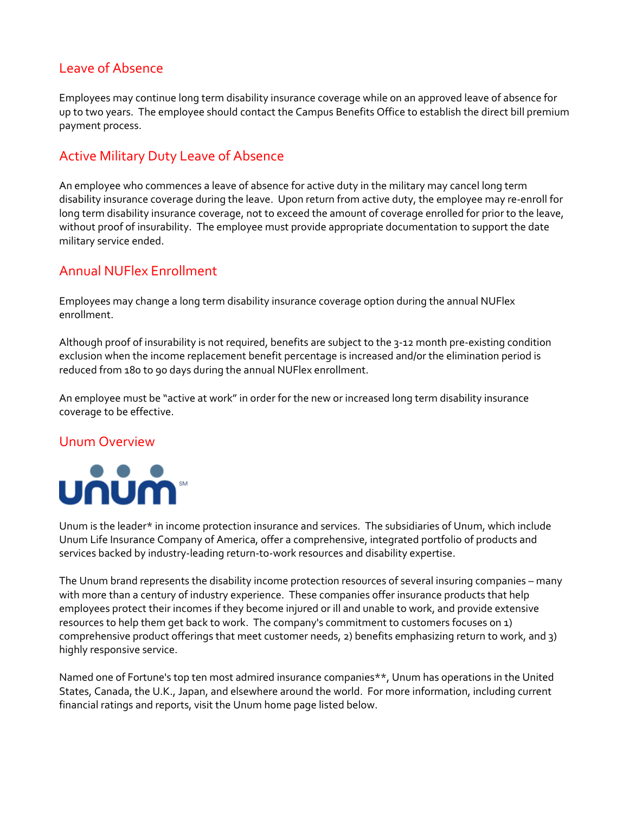#### Leave of Absence

Employees may continue long term disability insurance coverage while on an approved leave of absence for up to two years. The employee should contact the Campus Benefits Office to establish the direct bill premium payment process.

## Active Military Duty Leave of Absence

An employee who commences a leave of absence for active duty in the military may cancel long term disability insurance coverage during the leave. Upon return from active duty, the employee may re‐enroll for long term disability insurance coverage, not to exceed the amount of coverage enrolled for prior to the leave, without proof of insurability. The employee must provide appropriate documentation to support the date military service ended.

#### Annual NUFlex Enrollment

Employees may change a long term disability insurance coverage option during the annual NUFlex enrollment.

Although proof of insurability is not required, benefits are subject to the 3‐12 month pre‐existing condition exclusion when the income replacement benefit percentage is increased and/or the elimination period is reduced from 180 to 90 days during the annual NUFlex enrollment.

An employee must be "active at work" in order for the new or increased long term disability insurance coverage to be effective.

#### Unum Overview



Unum is the leader\* in income protection insurance and services. The subsidiaries of Unum, which include Unum Life Insurance Company of America, offer a comprehensive, integrated portfolio of products and services backed by industry-leading return-to-work resources and disability expertise.

The Unum brand represents the disability income protection resources of several insuring companies – many with more than a century of industry experience. These companies offer insurance products that help employees protect their incomes if they become injured or ill and unable to work, and provide extensive resources to help them get back to work. The company's commitment to customers focuses on 1) comprehensive product offerings that meet customer needs, 2) benefits emphasizing return to work, and 3) highly responsive service.

Named one of Fortune's top ten most admired insurance companies\*\*, Unum has operations in the United States, Canada, the U.K., Japan, and elsewhere around the world. For more information, including current financial ratings and reports, visit the Unum home page listed below.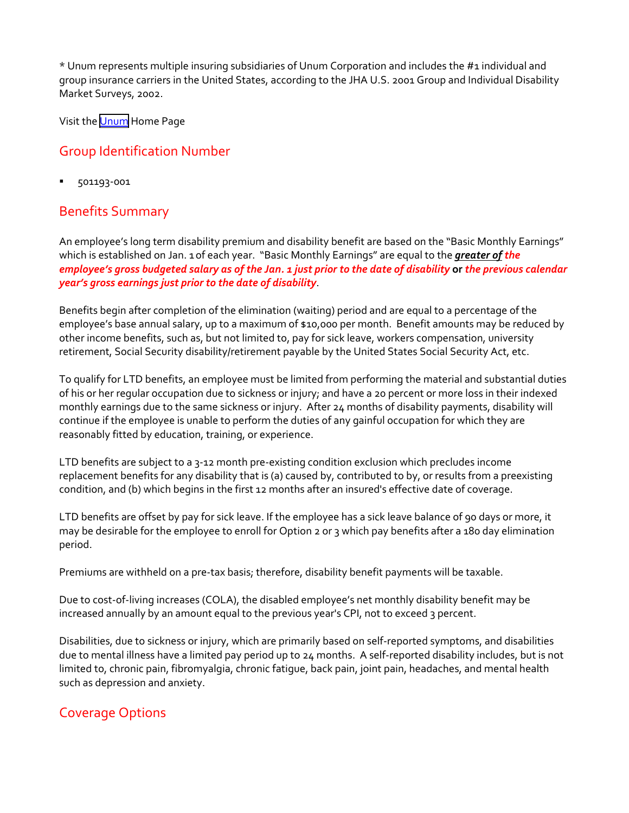\* Unum represents multiple insuring subsidiaries of Unum Corporation and includes the #1 individual and group insurance carriers in the United States, according to the JHA U.S. 2001 Group and Individual Disability Market Surveys, 2002.

Visit the [Unum](https://www.unum.com/) Home Page

## Group Identification Number

■ 501193-001

#### Benefits Summary

An employee's long term disability premium and disability benefit are based on the "Basic Monthly Earnings" which is established on Jan. 1of each year. "Basic Monthly Earnings" are equal to the *greater of the* employee's gross budgeted salary as of the Jan. 1 just prior to the date of disability or the previous calendar *year's gross earnings just prior to the date of disability*.

Benefits begin after completion of the elimination (waiting) period and are equal to a percentage of the employee's base annual salary, up to a maximum of \$10,000 per month. Benefit amounts may be reduced by other income benefits, such as, but not limited to, pay for sick leave, workers compensation, university retirement, Social Security disability/retirement payable by the United States Social Security Act, etc.

To qualify for LTD benefits, an employee must be limited from performing the material and substantial duties of his or her regular occupation due to sickness or injury; and have a 20 percent or more loss in their indexed monthly earnings due to the same sickness or injury. After 24 months of disability payments, disability will continue if the employee is unable to perform the duties of any gainful occupation for which they are reasonably fitted by education, training, or experience.

LTD benefits are subject to a 3-12 month pre-existing condition exclusion which precludes income replacement benefits for any disability that is (a) caused by, contributed to by, or results from a preexisting condition, and (b) which begins in the first 12 months after an insured's effective date of coverage.

LTD benefits are offset by pay for sick leave. If the employee has a sick leave balance of 90 days or more, it may be desirable for the employee to enroll for Option 2 or 3 which pay benefits after a 180 day elimination period.

Premiums are withheld on a pre‐tax basis; therefore, disability benefit payments will be taxable.

Due to cost-of-living increases (COLA), the disabled employee's net monthly disability benefit may be increased annually by an amount equal to the previous year's CPI, not to exceed 3 percent.

Disabilities, due to sickness or injury, which are primarily based on self‐reported symptoms, and disabilities due to mental illness have a limited pay period up to 24 months. A self‐reported disability includes, but is not limited to, chronic pain, fibromyalgia, chronic fatigue, back pain, joint pain, headaches, and mental health such as depression and anxiety.

## Coverage Options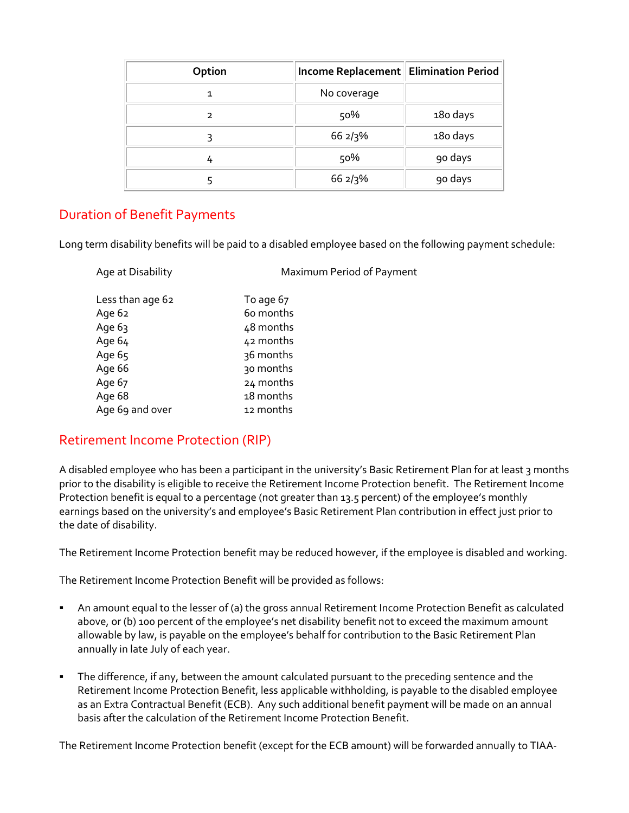| Option | Income Replacement   Elimination Period |          |
|--------|-----------------------------------------|----------|
| 1      | No coverage                             |          |
| っ      | 50%                                     | 180 days |
| ς      | 662/3%                                  | 180 days |
| 4      | 50%                                     | 90 days  |
|        | 662/3%                                  | 90 days  |

## Duration of Benefit Payments

Long term disability benefits will be paid to a disabled employee based on the following payment schedule:

| Age at Disability | Maximum Period of Payment |  |
|-------------------|---------------------------|--|
| Less than age 62  | To age 67                 |  |
| Age 62            | 60 months                 |  |
| Age 63            | 48 months                 |  |
| Age 64            | 42 months                 |  |
| Age 65            | 36 months                 |  |
| Age 66            | 30 months                 |  |
| Age 67            | 24 months                 |  |
| Age 68            | 18 months                 |  |
| Age 69 and over   | 12 months                 |  |
|                   |                           |  |

## Retirement Income Protection (RIP)

A disabled employee who has been a participant in the university's Basic Retirement Plan for at least 3 months prior to the disability is eligible to receive the Retirement Income Protection benefit. The Retirement Income Protection benefit is equal to a percentage (not greater than 13.5 percent) of the employee's monthly earnings based on the university's and employee's Basic Retirement Plan contribution in effect just prior to the date of disability.

The Retirement Income Protection benefit may be reduced however, if the employee is disabled and working.

The Retirement Income Protection Benefit will be provided as follows:

- An amount equal to the lesser of (a) the gross annual Retirement Income Protection Benefit as calculated above, or (b) 100 percent of the employee's net disability benefit not to exceed the maximum amount allowable by law, is payable on the employee's behalf for contribution to the Basic Retirement Plan annually in late July of each year.
- The difference, if any, between the amount calculated pursuant to the preceding sentence and the Retirement Income Protection Benefit, less applicable withholding, is payable to the disabled employee as an Extra Contractual Benefit (ECB). Any such additional benefit payment will be made on an annual basis after the calculation of the Retirement Income Protection Benefit.

The Retirement Income Protection benefit (except for the ECB amount) will be forwarded annually to TIAA‐